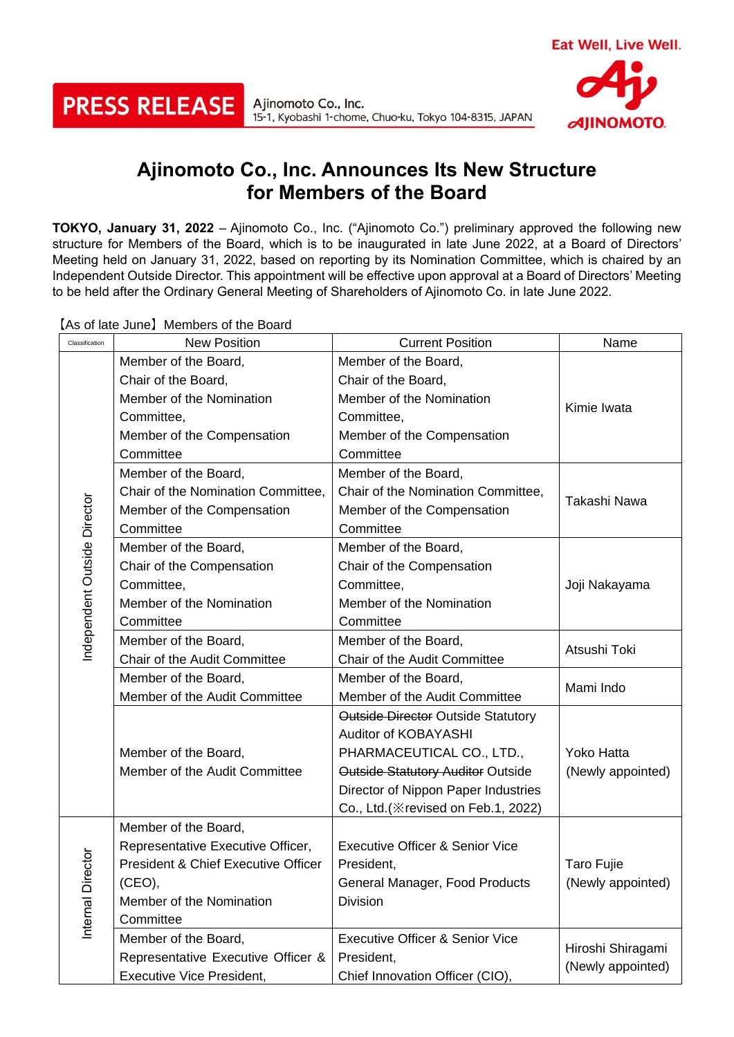Ajinomoto Co., Inc. 15-1, Kyobashi 1-chome, Chuo-ku, Tokyo 104-8315, JAPAN



## **Ajinomoto Co., Inc. Announces Its New Structure for Members of the Board**

**TOKYO, January 31, 2022** – Ajinomoto Co., Inc. ("Ajinomoto Co.") preliminary approved the following new structure for Members of the Board, which is to be inaugurated in late June 2022, at a Board of Directors' Meeting held on January 31, 2022, based on reporting by its Nomination Committee, which is chaired by an Independent Outside Director. This appointment will be effective upon approval at a Board of Directors' Meeting to be held after the Ordinary General Meeting of Shareholders of Ajinomoto Co. in late June 2022.

Classification New Position Current Position Name Member of the Board, Member of the Board, Chair of the Board, Chair of the Board, Member of the Nomination Member of the Nomination Kimie Iwata Committee, Committee, Member of the Compensation Member of the Compensation **Committee Committee** Member of the Board, Member of the Board, Chair of the Nomination Committee, Chair of the Nomination Committee, Independent Outside Director ndependent Outside Director Takashi Nawa Member of the Compensation Member of the Compensation **Committee Committee** Member of the Board, Member of the Board, Chair of the Compensation Chair of the Compensation Committee, Committee, Joji Nakayama Member of the Nomination Member of the Nomination **Committee Committee** Member of the Board, Member of the Board, Chair of the Audit Committee Atsushi Toki Chair of the Audit Committee Member of the Board, Member of the Board, Member of the Audit Committee Mami Indo Member of the Audit Committee Outside Director Outside Statutory Auditor of KOBAYASHI Member of the Board, PHARMACEUTICAL CO., LTD., Yoko Hatta Member of the Audit Committee Outside Statutory Auditor Outside (Newly appointed) Director of Nippon Paper Industries Co., Ltd.(※revised on Feb.1, 2022) Member of the Board, Representative Executive Officer, Executive Officer & Senior Vice nternal Director Internal Director President & Chief Executive Officer President, Taro Fujie (CEO), General Manager, Food Products (Newly appointed) Member of the Nomination Division **Committee** Executive Officer & Senior Vice Member of the Board, Hiroshi Shiragami Representative Executive Officer & President, (Newly appointed)

Chief Innovation Officer (CIO),

【As of late June】Members of the Board

**PRESS RELEASE** 

Executive Vice President,